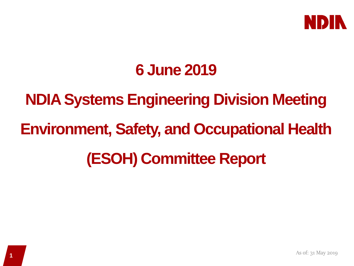

### **6 June 2019**

# **NDIA Systems Engineering Division Meeting Environment, Safety, and Occupational Health (ESOH) Committee Report**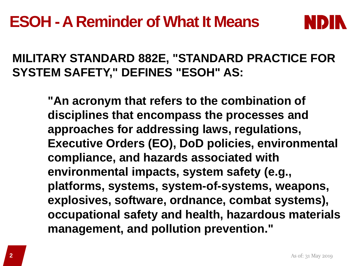

### **MILITARY STANDARD 882E, "STANDARD PRACTICE FOR SYSTEM SAFETY," DEFINES "ESOH" AS:**

**"An acronym that refers to the combination of disciplines that encompass the processes and approaches for addressing laws, regulations, Executive Orders (EO), DoD policies, environmental compliance, and hazards associated with environmental impacts, system safety (e.g., platforms, systems, system-of-systems, weapons, explosives, software, ordnance, combat systems), occupational safety and health, hazardous materials management, and pollution prevention."**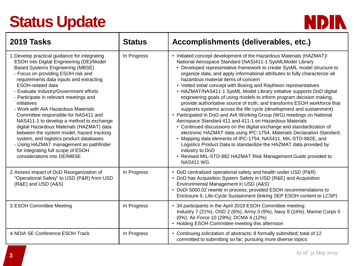## **Status Update**



| 2019 Tasks                                                                                                                                                                                                                                                                                                                                                                                                                                                                                                                                                                                                                                                                                                                           | <b>Status</b> | Accomplishments (deliverables, etc.)                                                                                                                                                                                                                                                                                                                                                                                                                                                                                                                                                                                                                                                                                                                                                                                                                                                                                                                                                                                                                                                                                                                                                                                                                  |
|--------------------------------------------------------------------------------------------------------------------------------------------------------------------------------------------------------------------------------------------------------------------------------------------------------------------------------------------------------------------------------------------------------------------------------------------------------------------------------------------------------------------------------------------------------------------------------------------------------------------------------------------------------------------------------------------------------------------------------------|---------------|-------------------------------------------------------------------------------------------------------------------------------------------------------------------------------------------------------------------------------------------------------------------------------------------------------------------------------------------------------------------------------------------------------------------------------------------------------------------------------------------------------------------------------------------------------------------------------------------------------------------------------------------------------------------------------------------------------------------------------------------------------------------------------------------------------------------------------------------------------------------------------------------------------------------------------------------------------------------------------------------------------------------------------------------------------------------------------------------------------------------------------------------------------------------------------------------------------------------------------------------------------|
| 1. Develop practical guidance for integrating<br>ESOH into Digital Engineering (DE)/Model<br><b>Based Systems Engineering (MBSE)</b><br>- Focus on providing ESOH risk and<br>requirements data inputs and extracting<br><b>ESOH-related data</b><br>- Evaluate Industry/Government efforts<br>- Participate in relevant meetings and<br>initiatives<br>- Work with AIA Hazardous Materials<br>Committee responsible for NAS411 and<br>NAS411-1 to develop a method to exchange<br>digital Hazardous Materials (HAZMAT) data<br>between the system model, hazard tracking<br>system, and logistics product databases<br>- Using HAZMAT management as pathfinder<br>for integrating full scope of ESOH<br>considerations into DE/MBSE | In Progress   | • Initiated concept development of the Hazardous Materials (HAZMAT)/<br>National Aerospace Standard (NAS)411-1 SysMLModel Library<br>• Developed representative framework to create SysML model structure to<br>organize data, and apply informational attributes to fully characterize all<br>hazardous material items of concern<br>• Vetted initial concept with Boeing and Raytheon representatives<br>• HAZMAT/NAS411-1 SysML Model Library initiative supports DoD digital<br>engineering goals of using models to inform program decision making,<br>provide authoritative source of truth, and transforms ESOH workforce that<br>supports systems across the life cycle (development and sustainment)<br>• Participated in DoD and AIA Working Group (WG) meetings on National<br>Aerospace Standard 411 and 411-1 on Hazardous Materials<br>• Continued discussions on the digital exchange and standardization of<br>electronic HAZMAT data using IPC-1754, Materials Declaration Standard,<br>• Mapping data elements of IPC-1754, NAS411, MIL-STD-882E, and<br>Logistics Product Data to standardize the HAZMAT data provided by<br>industry to DoD<br>• Revised MIL-STD-882 HAZMAT Risk Management Guide provided to<br><b>NAS411 WG</b> |
| 2. Assess impact of DoD Reorganization of<br>"Operational Safety" to USD (P&R) from USD<br>(R&E) and USD (A&S)                                                                                                                                                                                                                                                                                                                                                                                                                                                                                                                                                                                                                       | In Progress   | • DoD centralized operational safety and health under USD (P&R)<br>• DoD has Acquisition System Safety in USD (R&E) and Acquisition<br>Environmental Management in USD (A&S)<br>• DoDI 5000.02 rewrite in process; provided ESOH recommendations to<br>Enclosure 6, Life-Cycle Sustainment (linking SEP ESOH content to LCSP)                                                                                                                                                                                                                                                                                                                                                                                                                                                                                                                                                                                                                                                                                                                                                                                                                                                                                                                         |
| 3. ESOH Committee Meeting                                                                                                                                                                                                                                                                                                                                                                                                                                                                                                                                                                                                                                                                                                            | In Progress   | • 34 participants in the April 2019 ESOH Committee meeting:<br>Industry 7 (21%), OSD 2 (6%), Army 3 (9%), Navy 8 (24%), Marine Corps 0<br>(0%), Air Force 10 (29%); DCMA 4 (12%)<br>• Holding ESOH Committee meeting this afternoon                                                                                                                                                                                                                                                                                                                                                                                                                                                                                                                                                                                                                                                                                                                                                                                                                                                                                                                                                                                                                   |
| 4. NDIA SE Conference ESOH Track                                                                                                                                                                                                                                                                                                                                                                                                                                                                                                                                                                                                                                                                                                     | In Progress   | • Continuing solicitation of abstracts; 8 formally submitted; total of 12<br>committed to submitting so far; pursuing more diverse topics                                                                                                                                                                                                                                                                                                                                                                                                                                                                                                                                                                                                                                                                                                                                                                                                                                                                                                                                                                                                                                                                                                             |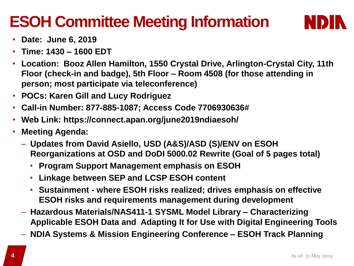### **ESOH Committee Meeting Information**



- **Date: June 6, 2019**
- **Time: 1430 – 1600 EDT**
- **Location: Booz Allen Hamilton, 1550 Crystal Drive, Arlington-Crystal City, 11th Floor (check-in and badge), 5th Floor – Room 4508 (for those attending in person; most participate via teleconference)**
- **POCs: Karen Gill and Lucy Rodriguez**
- **Call-in Number: 877-885-1087; Access Code 7706930636#**
- **Web Link: https://connect.apan.org/june2019ndiaesoh/**
- **Meeting Agenda:** 
	- **Updates from David Asiello, USD (A&S)/ASD (S)/ENV on ESOH Reorganizations at OSD and DoDI 5000.02 Rewrite (Goal of 5 pages total)** 
		- **Program Support Management emphasis on ESOH**
		- **Linkage between SEP and LCSP ESOH content**
		- **Sustainment - where ESOH risks realized; drives emphasis on effective ESOH risks and requirements management during development**
	- **Hazardous Materials/NAS411-1 SYSML Model Library – Characterizing Applicable ESOH Data and Adapting It for Use with Digital Engineering Tools**
	- **NDIA Systems & Mission Engineering Conference – ESOH Track Planning**